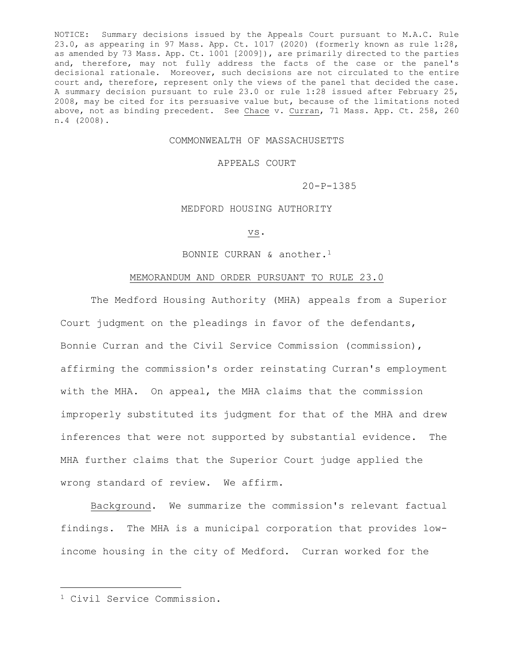NOTICE: Summary decisions issued by the Appeals Court pursuant to M.A.C. Rule 23.0, as appearing in 97 Mass. App. Ct. 1017 (2020) (formerly known as rule 1:28, as amended by 73 Mass. App. Ct. 1001 [2009]), are primarily directed to the parties and, therefore, may not fully address the facts of the case or the panel's decisional rationale. Moreover, such decisions are not circulated to the entire court and, therefore, represent only the views of the panel that decided the case. A summary decision pursuant to rule 23.0 or rule 1:28 issued after February 25, 2008, may be cited for its persuasive value but, because of the limitations noted above, not as binding precedent. See Chace v. Curran, 71 Mass. App. Ct. 258, 260 n.4 (2008).

# COMMONWEALTH OF MASSACHUSETTS

## APPEALS COURT

20-P-1385

## MEDFORD HOUSING AUTHORITY

#### vs.

# BONNIE CURRAN & another.<sup>1</sup>

## MEMORANDUM AND ORDER PURSUANT TO RULE 23.0

The Medford Housing Authority (MHA) appeals from a Superior Court judgment on the pleadings in favor of the defendants, Bonnie Curran and the Civil Service Commission (commission), affirming the commission's order reinstating Curran's employment with the MHA. On appeal, the MHA claims that the commission improperly substituted its judgment for that of the MHA and drew inferences that were not supported by substantial evidence. The MHA further claims that the Superior Court judge applied the wrong standard of review. We affirm.

Background. We summarize the commission's relevant factual findings. The MHA is a municipal corporation that provides lowincome housing in the city of Medford. Curran worked for the

<sup>1</sup> Civil Service Commission.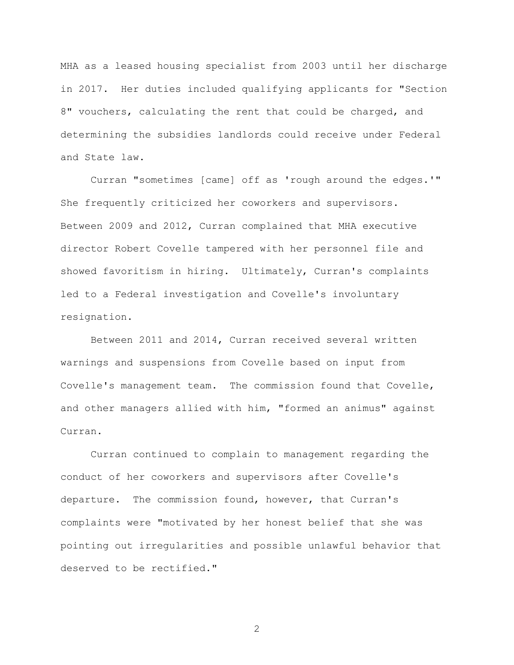MHA as a leased housing specialist from 2003 until her discharge in 2017. Her duties included qualifying applicants for "Section 8" vouchers, calculating the rent that could be charged, and determining the subsidies landlords could receive under Federal and State law.

Curran "sometimes [came] off as 'rough around the edges.'" She frequently criticized her coworkers and supervisors. Between 2009 and 2012, Curran complained that MHA executive director Robert Covelle tampered with her personnel file and showed favoritism in hiring. Ultimately, Curran's complaints led to a Federal investigation and Covelle's involuntary resignation.

Between 2011 and 2014, Curran received several written warnings and suspensions from Covelle based on input from Covelle's management team. The commission found that Covelle, and other managers allied with him, "formed an animus" against Curran.

Curran continued to complain to management regarding the conduct of her coworkers and supervisors after Covelle's departure. The commission found, however, that Curran's complaints were "motivated by her honest belief that she was pointing out irregularities and possible unlawful behavior that deserved to be rectified."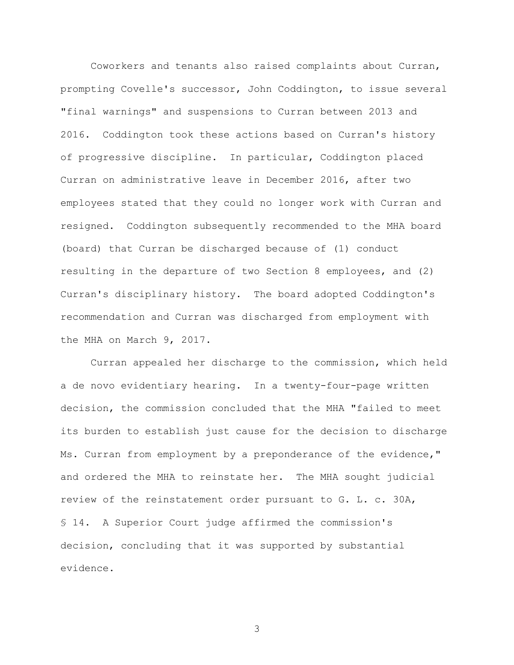Coworkers and tenants also raised complaints about Curran, prompting Covelle's successor, John Coddington, to issue several "final warnings" and suspensions to Curran between 2013 and 2016. Coddington took these actions based on Curran's history of progressive discipline. In particular, Coddington placed Curran on administrative leave in December 2016, after two employees stated that they could no longer work with Curran and resigned. Coddington subsequently recommended to the MHA board (board) that Curran be discharged because of (1) conduct resulting in the departure of two Section 8 employees, and (2) Curran's disciplinary history. The board adopted Coddington's recommendation and Curran was discharged from employment with the MHA on March 9, 2017.

Curran appealed her discharge to the commission, which held a de novo evidentiary hearing. In a twenty-four-page written decision, the commission concluded that the MHA "failed to meet its burden to establish just cause for the decision to discharge Ms. Curran from employment by a preponderance of the evidence," and ordered the MHA to reinstate her. The MHA sought judicial review of the reinstatement order pursuant to G. L. c. 30A, § 14. A Superior Court judge affirmed the commission's decision, concluding that it was supported by substantial evidence.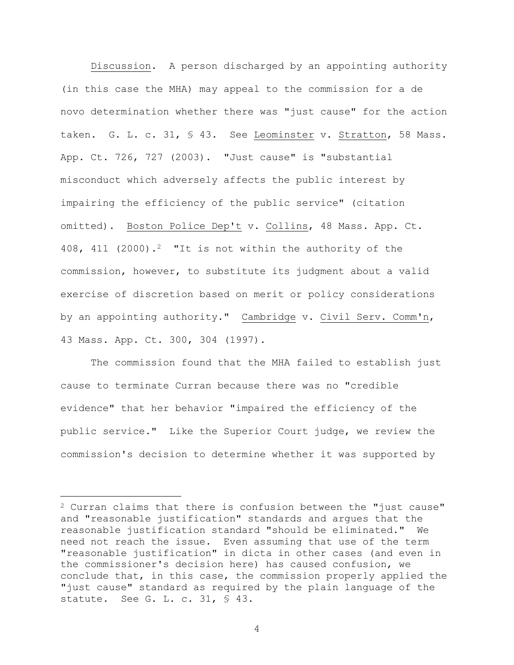Discussion. A person discharged by an appointing authority (in this case the MHA) may appeal to the commission for a de novo determination whether there was "just cause" for the action taken. G. L. c. 31, § 43. See Leominster v. Stratton, 58 Mass. App. Ct. 726, 727 (2003). "Just cause" is "substantial misconduct which adversely affects the public interest by impairing the efficiency of the public service" (citation omitted). Boston Police Dep't v. Collins, 48 Mass. App. Ct. 408, 411 (2000).<sup>2</sup> "It is not within the authority of the commission, however, to substitute its judgment about a valid exercise of discretion based on merit or policy considerations by an appointing authority." Cambridge v. Civil Serv. Comm'n, 43 Mass. App. Ct. 300, 304 (1997).

The commission found that the MHA failed to establish just cause to terminate Curran because there was no "credible evidence" that her behavior "impaired the efficiency of the public service." Like the Superior Court judge, we review the commission's decision to determine whether it was supported by

<sup>2</sup> Curran claims that there is confusion between the "just cause" and "reasonable justification" standards and argues that the reasonable justification standard "should be eliminated." We need not reach the issue. Even assuming that use of the term "reasonable justification" in dicta in other cases (and even in the commissioner's decision here) has caused confusion, we conclude that, in this case, the commission properly applied the "just cause" standard as required by the plain language of the statute. See G. L. c. 31, § 43.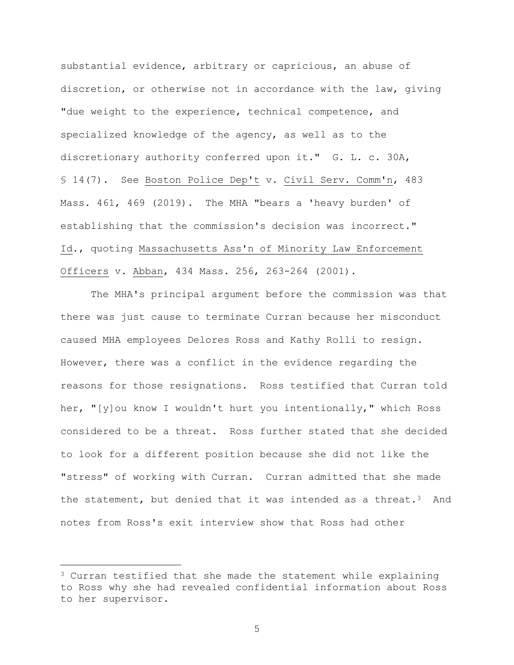substantial evidence, arbitrary or capricious, an abuse of discretion, or otherwise not in accordance with the law, giving "due weight to the experience, technical competence, and specialized knowledge of the agency, as well as to the discretionary authority conferred upon it." G. L. c. 30A, § 14(7). See Boston Police Dep't v. Civil Serv. Comm'n, 483 Mass. 461, 469 (2019). The MHA "bears a 'heavy burden' of establishing that the commission's decision was incorrect." Id., quoting Massachusetts Ass'n of Minority Law Enforcement Officers v. Abban, 434 Mass. 256, 263-264 (2001).

The MHA's principal argument before the commission was that there was just cause to terminate Curran because her misconduct caused MHA employees Delores Ross and Kathy Rolli to resign. However, there was a conflict in the evidence regarding the reasons for those resignations. Ross testified that Curran told her, "[y]ou know I wouldn't hurt you intentionally," which Ross considered to be a threat. Ross further stated that she decided to look for a different position because she did not like the "stress" of working with Curran. Curran admitted that she made the statement, but denied that it was intended as a threat.<sup>3</sup> And notes from Ross's exit interview show that Ross had other

 $3$  Curran testified that she made the statement while explaining to Ross why she had revealed confidential information about Ross to her supervisor.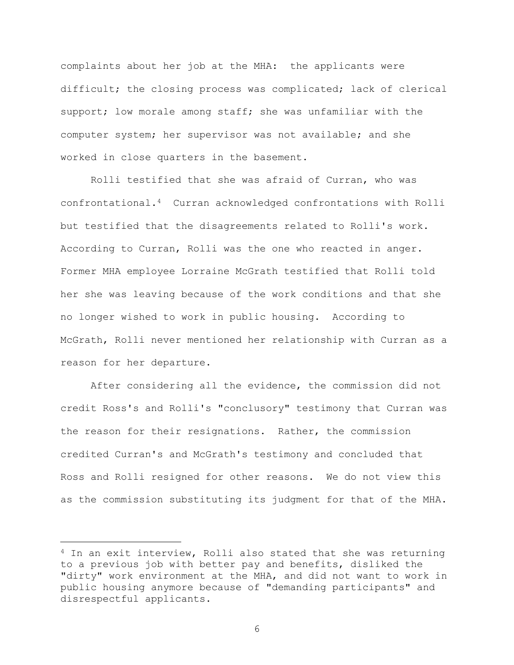complaints about her job at the MHA: the applicants were difficult; the closing process was complicated; lack of clerical support; low morale among staff; she was unfamiliar with the computer system; her supervisor was not available; and she worked in close quarters in the basement.

Rolli testified that she was afraid of Curran, who was confrontational.4 Curran acknowledged confrontations with Rolli but testified that the disagreements related to Rolli's work. According to Curran, Rolli was the one who reacted in anger. Former MHA employee Lorraine McGrath testified that Rolli told her she was leaving because of the work conditions and that she no longer wished to work in public housing. According to McGrath, Rolli never mentioned her relationship with Curran as a reason for her departure.

After considering all the evidence, the commission did not credit Ross's and Rolli's "conclusory" testimony that Curran was the reason for their resignations. Rather, the commission credited Curran's and McGrath's testimony and concluded that Ross and Rolli resigned for other reasons. We do not view this as the commission substituting its judgment for that of the MHA.

 $4$  In an exit interview, Rolli also stated that she was returning to a previous job with better pay and benefits, disliked the "dirty" work environment at the MHA, and did not want to work in public housing anymore because of "demanding participants" and disrespectful applicants.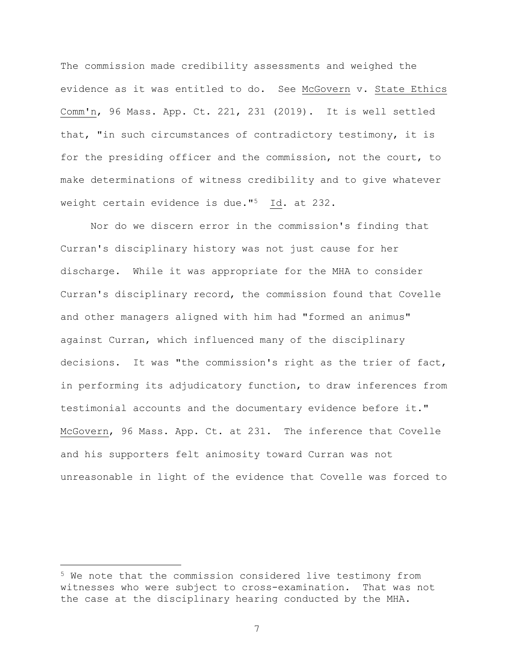The commission made credibility assessments and weighed the evidence as it was entitled to do. See McGovern v. State Ethics Comm'n, 96 Mass. App. Ct. 221, 231 (2019). It is well settled that, "in such circumstances of contradictory testimony, it is for the presiding officer and the commission, not the court, to make determinations of witness credibility and to give whatever weight certain evidence is due."<sup>5</sup> Id. at 232.

Nor do we discern error in the commission's finding that Curran's disciplinary history was not just cause for her discharge. While it was appropriate for the MHA to consider Curran's disciplinary record, the commission found that Covelle and other managers aligned with him had "formed an animus" against Curran, which influenced many of the disciplinary decisions. It was "the commission's right as the trier of fact, in performing its adjudicatory function, to draw inferences from testimonial accounts and the documentary evidence before it." McGovern, 96 Mass. App. Ct. at 231. The inference that Covelle and his supporters felt animosity toward Curran was not unreasonable in light of the evidence that Covelle was forced to

<sup>5</sup> We note that the commission considered live testimony from witnesses who were subject to cross-examination. That was not the case at the disciplinary hearing conducted by the MHA.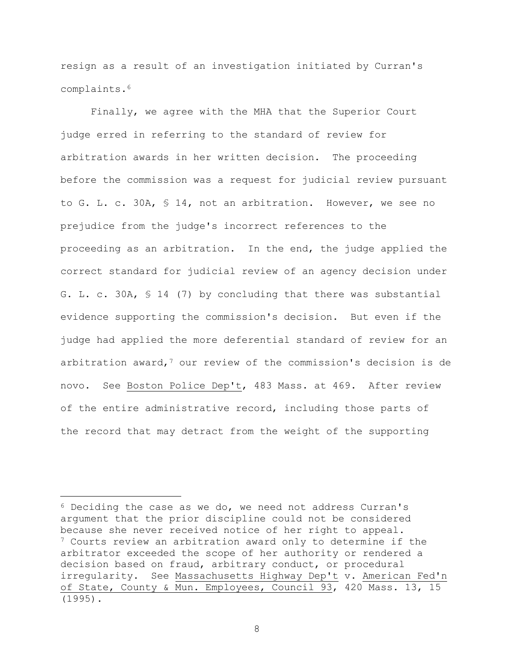resign as a result of an investigation initiated by Curran's complaints.<sup>6</sup>

Finally, we agree with the MHA that the Superior Court judge erred in referring to the standard of review for arbitration awards in her written decision. The proceeding before the commission was a request for judicial review pursuant to G. L. c. 30A, § 14, not an arbitration. However, we see no prejudice from the judge's incorrect references to the proceeding as an arbitration. In the end, the judge applied the correct standard for judicial review of an agency decision under G. L. c. 30A, § 14 (7) by concluding that there was substantial evidence supporting the commission's decision. But even if the judge had applied the more deferential standard of review for an arbitration award,  $7$  our review of the commission's decision is de novo. See Boston Police Dep't, 483 Mass. at 469. After review of the entire administrative record, including those parts of the record that may detract from the weight of the supporting

<sup>6</sup> Deciding the case as we do, we need not address Curran's argument that the prior discipline could not be considered because she never received notice of her right to appeal. <sup>7</sup> Courts review an arbitration award only to determine if the arbitrator exceeded the scope of her authority or rendered a decision based on fraud, arbitrary conduct, or procedural irregularity. See Massachusetts Highway Dep't v. American Fed'n of State, County & Mun. Employees, Council 93, 420 Mass. 13, 15 (1995).